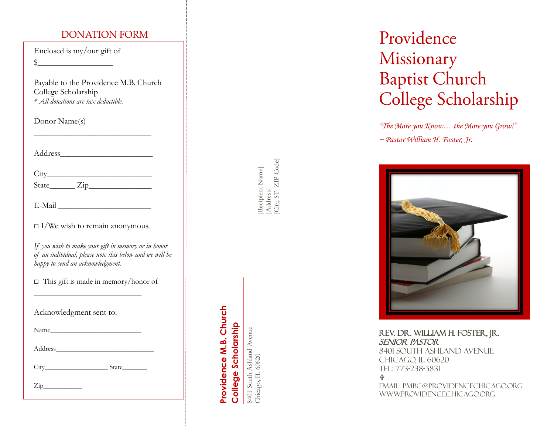#### DONATION FORM

Enclosed is my/our gift of  $\frac{1}{2}$ 

Payable to the Providence M.B. Church College Scholarship *\* All donations are tax deductible.*

Donor Name(s)

| Address |  |  |  |
|---------|--|--|--|
|         |  |  |  |

 $\overline{\phantom{a}}$  , where  $\overline{\phantom{a}}$  , where  $\overline{\phantom{a}}$  , where  $\overline{\phantom{a}}$ 

| C<br>1 T V<br>. |  |  |  |
|-----------------|--|--|--|
|                 |  |  |  |

| State |  |
|-------|--|
|       |  |

| E-Mail |  |  |  |  |
|--------|--|--|--|--|
|        |  |  |  |  |

|  |  | $\Box$ I/We wish to remain anonymous. |  |
|--|--|---------------------------------------|--|

*If you wish to make your gift in memory or in honor of an individual, please note this below and we will be happy to send an acknowledgment.* 

□ This gift is made in memory/honor of

\_\_\_\_\_\_\_\_\_\_\_\_\_\_\_\_\_\_\_\_\_\_\_\_\_\_\_\_

| Acknowledgment sent to: |  |
|-------------------------|--|
|                         |  |

Name\_

Address\_\_\_\_\_\_\_\_\_\_\_\_\_\_\_\_\_\_\_\_\_\_\_\_\_\_\_\_

City State

 $\mathsf{Zip}\_\_$ 

[Recipient Name] [Recipient Name]<br>[Address]<br>[City, ST *Z*IP Code] [City, ST ZIP Code]

# **Providence M.B. Church**  Providence M.B. Church College Scholarship **College Scholarship**

8401 South Ashland Avenue<br>Chicago, IL 60620 8401 South Ashland Avenue Chicago, IL 60620

## Providence Missionary **Baptist Church** College Scholarship

*"The More you Know… the More you Grow!" ~ Pastor William H. Foster, Jr.*



REV. DR. WILLIAM H. FOSTER, JR. SENIOR PASTOR 8401 SOUTH ASHLAND AVENUE CHICAGO, IL 60620 TEL: 773 -238 -5831 유 Email: pmbc@providencechicago.org WWW.PROVIDENCECHICAGO.ORG